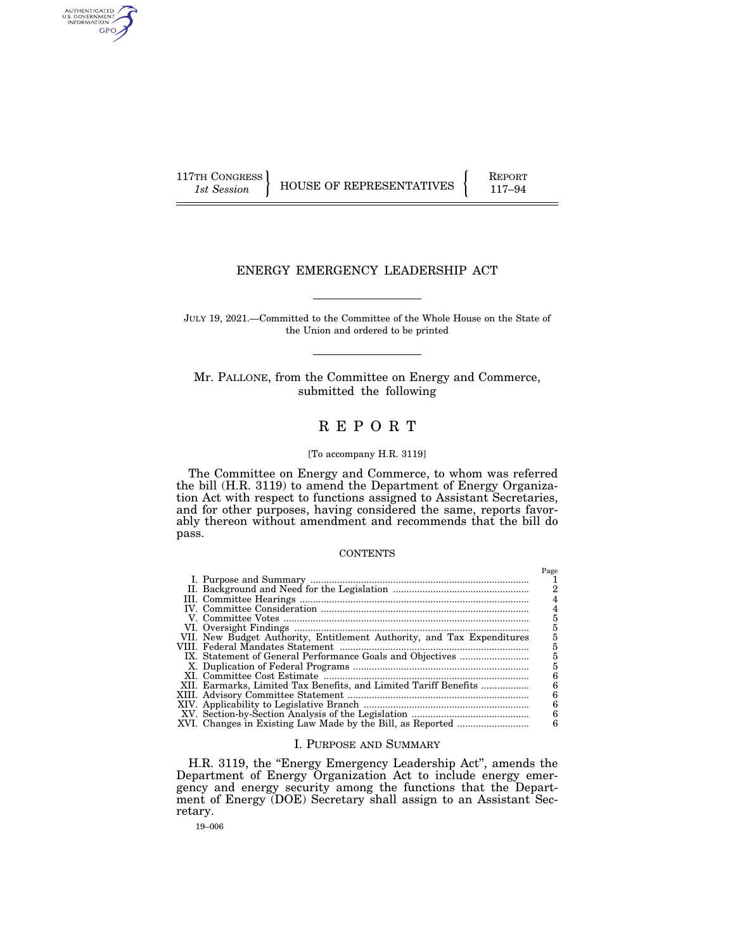AUTHENTICATED<br>U.S. GOVERNMENT<br>INFORMATION GPO

117TH CONGRESS **REPORT 117-94** HOUSE OF REPRESENTATIVES **117–94** 

# ENERGY EMERGENCY LEADERSHIP ACT

JULY 19, 2021.—Committed to the Committee of the Whole House on the State of the Union and ordered to be printed

Mr. PALLONE, from the Committee on Energy and Commerce, submitted the following

# R E P O R T

## [To accompany H.R. 3119]

The Committee on Energy and Commerce, to whom was referred the bill (H.R. 3119) to amend the Department of Energy Organization Act with respect to functions assigned to Assistant Secretaries, and for other purposes, having considered the same, reports favorably thereon without amendment and recommends that the bill do pass.

# **CONTENTS**

|                                                                        | Page |
|------------------------------------------------------------------------|------|
|                                                                        |      |
|                                                                        | 2    |
|                                                                        |      |
|                                                                        |      |
|                                                                        |      |
|                                                                        | 5    |
| VII. New Budget Authority, Entitlement Authority, and Tax Expenditures | 5    |
|                                                                        | 5    |
|                                                                        | 5    |
|                                                                        | 5    |
|                                                                        | 6    |
| XII. Earmarks, Limited Tax Benefits, and Limited Tariff Benefits       | б    |
|                                                                        | 6    |
|                                                                        | 6    |
|                                                                        | 6    |
|                                                                        | 6    |

### I. PURPOSE AND SUMMARY

H.R. 3119, the ''Energy Emergency Leadership Act'', amends the Department of Energy Organization Act to include energy emergency and energy security among the functions that the Department of Energy (DOE) Secretary shall assign to an Assistant Secretary.

19–006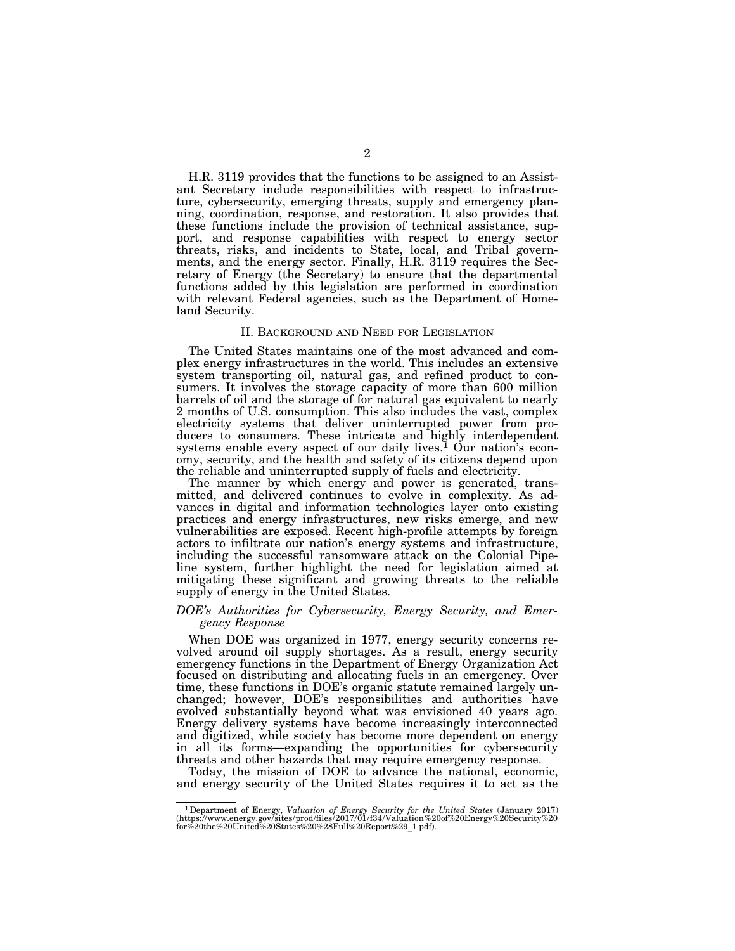H.R. 3119 provides that the functions to be assigned to an Assistant Secretary include responsibilities with respect to infrastructure, cybersecurity, emerging threats, supply and emergency planning, coordination, response, and restoration. It also provides that these functions include the provision of technical assistance, support, and response capabilities with respect to energy sector threats, risks, and incidents to State, local, and Tribal governments, and the energy sector. Finally, H.R. 3119 requires the Secretary of Energy (the Secretary) to ensure that the departmental functions added by this legislation are performed in coordination with relevant Federal agencies, such as the Department of Homeland Security.

#### II. BACKGROUND AND NEED FOR LEGISLATION

The United States maintains one of the most advanced and complex energy infrastructures in the world. This includes an extensive system transporting oil, natural gas, and refined product to consumers. It involves the storage capacity of more than 600 million barrels of oil and the storage of for natural gas equivalent to nearly 2 months of U.S. consumption. This also includes the vast, complex electricity systems that deliver uninterrupted power from producers to consumers. These intricate and highly interdependent systems enable every aspect of our daily lives.<sup>1</sup> Our nation's economy, security, and the health and safety of its citizens depend upon the reliable and uninterrupted supply of fuels and electricity.

The manner by which energy and power is generated, transmitted, and delivered continues to evolve in complexity. As advances in digital and information technologies layer onto existing practices and energy infrastructures, new risks emerge, and new vulnerabilities are exposed. Recent high-profile attempts by foreign actors to infiltrate our nation's energy systems and infrastructure, including the successful ransomware attack on the Colonial Pipeline system, further highlight the need for legislation aimed at mitigating these significant and growing threats to the reliable supply of energy in the United States.

### *DOE's Authorities for Cybersecurity, Energy Security, and Emergency Response*

When DOE was organized in 1977, energy security concerns revolved around oil supply shortages. As a result, energy security emergency functions in the Department of Energy Organization Act focused on distributing and allocating fuels in an emergency. Over time, these functions in DOE's organic statute remained largely unchanged; however, DOE's responsibilities and authorities have evolved substantially beyond what was envisioned 40 years ago. Energy delivery systems have become increasingly interconnected and digitized, while society has become more dependent on energy in all its forms—expanding the opportunities for cybersecurity threats and other hazards that may require emergency response.

Today, the mission of DOE to advance the national, economic, and energy security of the United States requires it to act as the

 $^1$ Department of Energy, Valuation of Energy Security for the United States (January 2017) (https://www.energy.gov/sites/prod/files/2017/01/f34/Valuation%20of%20Energy%20Security%20<br>for%20the%20United%20States%20%28Full%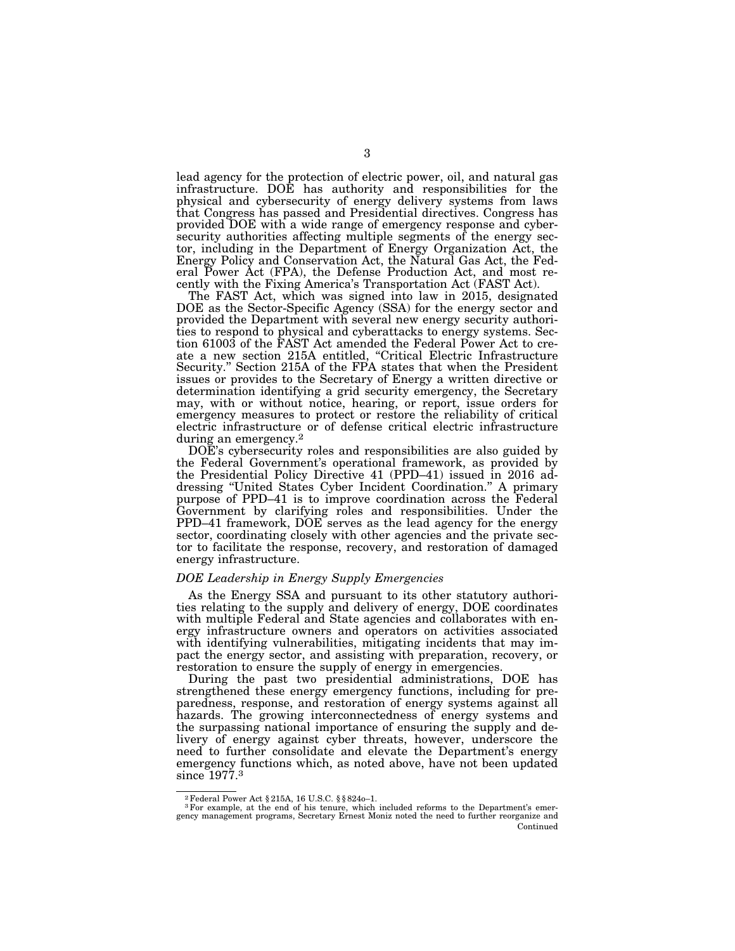lead agency for the protection of electric power, oil, and natural gas infrastructure. DOE has authority and responsibilities for the physical and cybersecurity of energy delivery systems from laws that Congress has passed and Presidential directives. Congress has provided DOE with a wide range of emergency response and cybersecurity authorities affecting multiple segments of the energy sector, including in the Department of Energy Organization Act, the Energy Policy and Conservation Act, the Natural Gas Act, the Federal Power Act (FPA), the Defense Production Act, and most recently with the Fixing America's Transportation Act (FAST Act).

The FAST Act, which was signed into law in 2015, designated DOE as the Sector-Specific Agency (SSA) for the energy sector and provided the Department with several new energy security authorities to respond to physical and cyberattacks to energy systems. Section 61003 of the FAST Act amended the Federal Power Act to create a new section 215A entitled, ''Critical Electric Infrastructure Security.'' Section 215A of the FPA states that when the President issues or provides to the Secretary of Energy a written directive or determination identifying a grid security emergency, the Secretary may, with or without notice, hearing, or report, issue orders for emergency measures to protect or restore the reliability of critical electric infrastructure or of defense critical electric infrastructure during an emergency.<sup>2</sup>

DOE's cybersecurity roles and responsibilities are also guided by the Federal Government's operational framework, as provided by the Presidential Policy Directive 41 (PPD–41) issued in 2016 addressing ''United States Cyber Incident Coordination.'' A primary purpose of PPD–41 is to improve coordination across the Federal Government by clarifying roles and responsibilities. Under the PPD–41 framework, DOE serves as the lead agency for the energy sector, coordinating closely with other agencies and the private sector to facilitate the response, recovery, and restoration of damaged energy infrastructure.

### *DOE Leadership in Energy Supply Emergencies*

As the Energy SSA and pursuant to its other statutory authorities relating to the supply and delivery of energy, DOE coordinates with multiple Federal and State agencies and collaborates with energy infrastructure owners and operators on activities associated with identifying vulnerabilities, mitigating incidents that may impact the energy sector, and assisting with preparation, recovery, or restoration to ensure the supply of energy in emergencies.

During the past two presidential administrations, DOE has strengthened these energy emergency functions, including for preparedness, response, and restoration of energy systems against all hazards. The growing interconnectedness of energy systems and the surpassing national importance of ensuring the supply and delivery of energy against cyber threats, however, underscore the need to further consolidate and elevate the Department's energy emergency functions which, as noted above, have not been updated since 1977.<sup>3</sup>

<sup>&</sup>lt;sup>2</sup> Federal Power Act § 215A, 16 U.S.C. § § 824o-1.<br><sup>3</sup> For example, at the end of his tenure, which included reforms to the Department's emergency management programs, Secretary Ernest Moniz noted the need to further reo Continued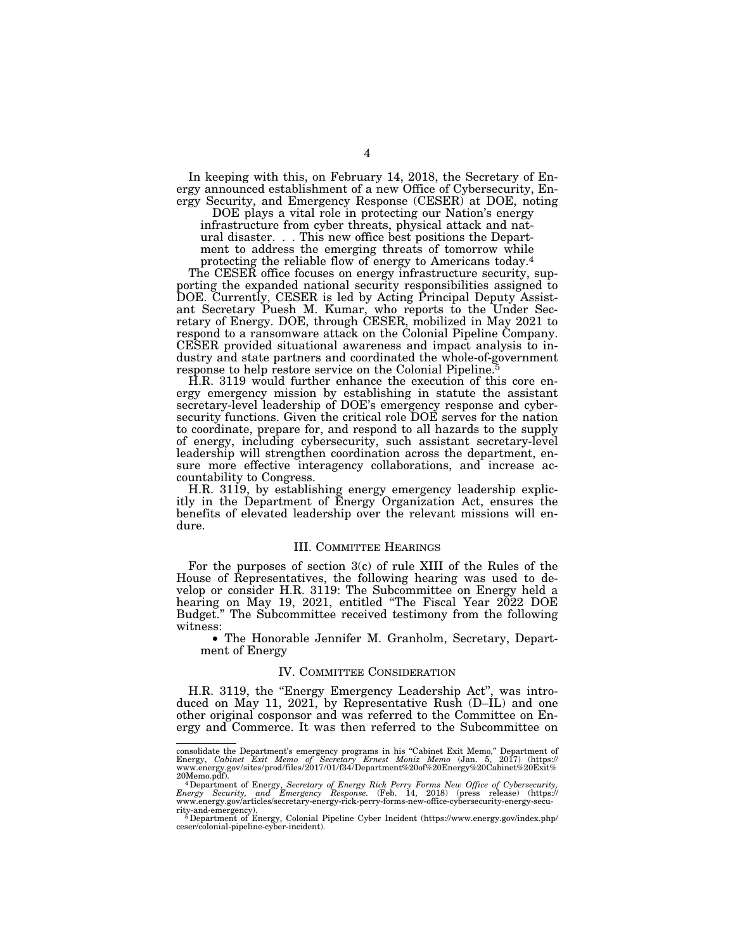In keeping with this, on February 14, 2018, the Secretary of Energy announced establishment of a new Office of Cybersecurity, Energy Security, and Emergency Response (CESER) at DOE, noting

DOE plays a vital role in protecting our Nation's energy infrastructure from cyber threats, physical attack and natural disaster. . . This new office best positions the Department to address the emerging threats of tomorrow while protecting the reliable flow of energy to Americans today.4

The CESER office focuses on energy infrastructure security, supporting the expanded national security responsibilities assigned to DOE. Currently, CESER is led by Acting Principal Deputy Assistant Secretary Puesh M. Kumar, who reports to the Under Secretary of Energy. DOE, through CESER, mobilized in May 2021 to respond to a ransomware attack on the Colonial Pipeline Company. CESER provided situational awareness and impact analysis to industry and state partners and coordinated the whole-of-government response to help restore service on the Colonial Pipeline.5

H.R. 3119 would further enhance the execution of this core energy emergency mission by establishing in statute the assistant secretary-level leadership of DOE's emergency response and cybersecurity functions. Given the critical role DOE serves for the nation to coordinate, prepare for, and respond to all hazards to the supply of energy, including cybersecurity, such assistant secretary-level leadership will strengthen coordination across the department, ensure more effective interagency collaborations, and increase accountability to Congress.

H.R. 3119, by establishing energy emergency leadership explicitly in the Department of Energy Organization Act, ensures the benefits of elevated leadership over the relevant missions will endure.

### III. COMMITTEE HEARINGS

For the purposes of section 3(c) of rule XIII of the Rules of the House of Representatives, the following hearing was used to develop or consider H.R. 3119: The Subcommittee on Energy held a hearing on May 19, 2021, entitled ''The Fiscal Year 2022 DOE Budget.'' The Subcommittee received testimony from the following witness:

• The Honorable Jennifer M. Granholm, Secretary, Department of Energy

# IV. COMMITTEE CONSIDERATION

H.R. 3119, the ''Energy Emergency Leadership Act'', was introduced on May 11, 2021, by Representative Rush (D–IL) and one other original cosponsor and was referred to the Committee on Energy and Commerce. It was then referred to the Subcommittee on

consolidate the Department's emergency programs in his "Cabinet Exit Memo," Department of<br>Energy, *Cabinet Exit Memo of Secretary Ernest Moniz Memo (*Jan. 5, 2017) (https://<br>www.energy.gov/sites/prod/files/2017/01/f34/Depa

<sup>20</sup>Memo.pdf).<br>
<sup>4</sup> Department of Energy, *Secretary of Energy Rick Perry Forms New Office of Cybersecurity,*<br> *Energy Security, and Emergency Response.* (Feb. 14, 2018) (press release) (https://<br>
www.energy.gov/articles/sec

rity-and-emergency). 5Department of Energy, Colonial Pipeline Cyber Incident (https://www.energy.gov/index.php/ ceser/colonial-pipeline-cyber-incident).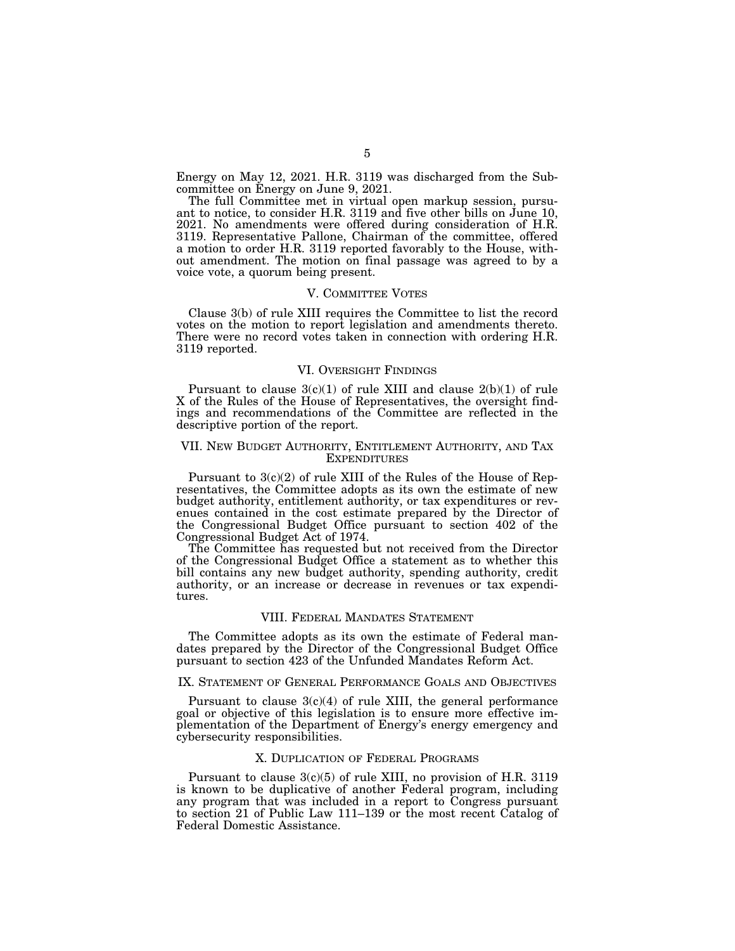Energy on May 12, 2021. H.R. 3119 was discharged from the Subcommittee on Energy on June 9, 2021.

The full Committee met in virtual open markup session, pursuant to notice, to consider H.R. 3119 and five other bills on June 10, 2021. No amendments were offered during consideration of H.R. 3119. Representative Pallone, Chairman of the committee, offered a motion to order H.R. 3119 reported favorably to the House, without amendment. The motion on final passage was agreed to by a voice vote, a quorum being present.

#### V. COMMITTEE VOTES

Clause 3(b) of rule XIII requires the Committee to list the record votes on the motion to report legislation and amendments thereto. There were no record votes taken in connection with ordering H.R. 3119 reported.

### VI. OVERSIGHT FINDINGS

Pursuant to clause  $3(c)(1)$  of rule XIII and clause  $2(b)(1)$  of rule X of the Rules of the House of Representatives, the oversight findings and recommendations of the Committee are reflected in the descriptive portion of the report.

### VII. NEW BUDGET AUTHORITY, ENTITLEMENT AUTHORITY, AND TAX **EXPENDITURES**

Pursuant to 3(c)(2) of rule XIII of the Rules of the House of Representatives, the Committee adopts as its own the estimate of new budget authority, entitlement authority, or tax expenditures or revenues contained in the cost estimate prepared by the Director of the Congressional Budget Office pursuant to section 402 of the Congressional Budget Act of 1974.

The Committee has requested but not received from the Director of the Congressional Budget Office a statement as to whether this bill contains any new budget authority, spending authority, credit authority, or an increase or decrease in revenues or tax expenditures.

### VIII. FEDERAL MANDATES STATEMENT

The Committee adopts as its own the estimate of Federal mandates prepared by the Director of the Congressional Budget Office pursuant to section 423 of the Unfunded Mandates Reform Act.

## IX. STATEMENT OF GENERAL PERFORMANCE GOALS AND OBJECTIVES

Pursuant to clause  $3(c)(4)$  of rule XIII, the general performance goal or objective of this legislation is to ensure more effective implementation of the Department of Energy's energy emergency and cybersecurity responsibilities.

# X. DUPLICATION OF FEDERAL PROGRAMS

Pursuant to clause 3(c)(5) of rule XIII, no provision of H.R. 3119 is known to be duplicative of another Federal program, including any program that was included in a report to Congress pursuant to section 21 of Public Law 111–139 or the most recent Catalog of Federal Domestic Assistance.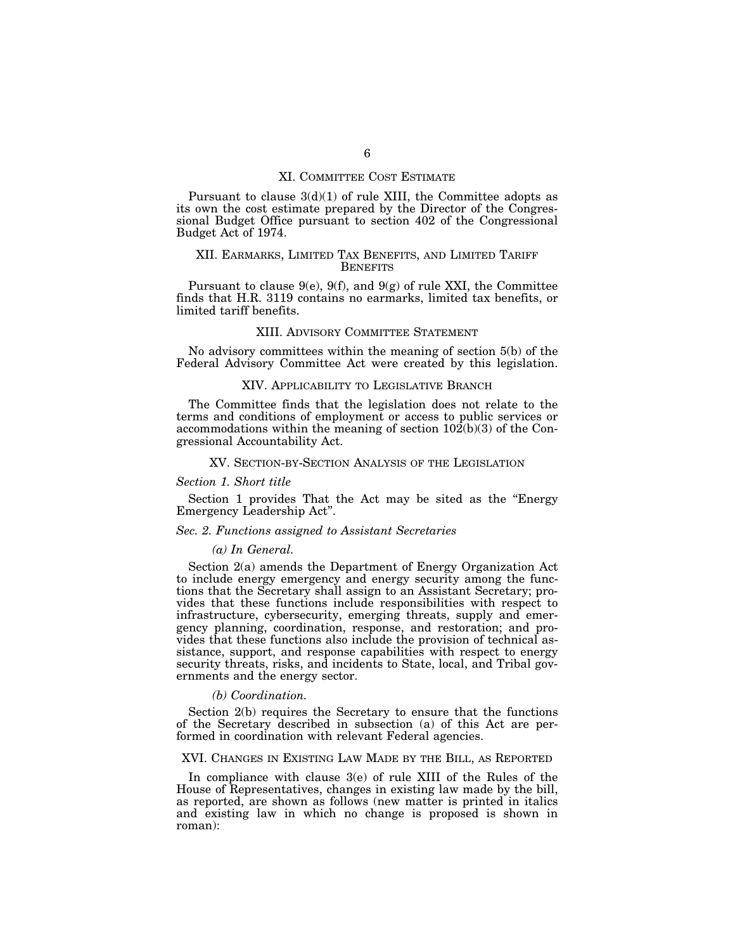## XI. COMMITTEE COST ESTIMATE

Pursuant to clause  $3(d)(1)$  of rule XIII, the Committee adopts as its own the cost estimate prepared by the Director of the Congressional Budget Office pursuant to section 402 of the Congressional Budget Act of 1974.

# XII. EARMARKS, LIMITED TAX BENEFITS, AND LIMITED TARIFF **BENEFITS**

Pursuant to clause  $9(e)$ ,  $9(f)$ , and  $9(g)$  of rule XXI, the Committee finds that H.R. 3119 contains no earmarks, limited tax benefits, or limited tariff benefits.

### XIII. ADVISORY COMMITTEE STATEMENT

No advisory committees within the meaning of section 5(b) of the Federal Advisory Committee Act were created by this legislation.

### XIV. APPLICABILITY TO LEGISLATIVE BRANCH

The Committee finds that the legislation does not relate to the terms and conditions of employment or access to public services or accommodations within the meaning of section  $10\overline{2(b)(3)}$  of the Congressional Accountability Act.

### XV. SECTION-BY-SECTION ANALYSIS OF THE LEGISLATION

### *Section 1. Short title*

Section 1 provides That the Act may be sited as the "Energy Emergency Leadership Act''.

## *Sec. 2. Functions assigned to Assistant Secretaries*

#### *(a) In General.*

Section 2(a) amends the Department of Energy Organization Act to include energy emergency and energy security among the functions that the Secretary shall assign to an Assistant Secretary; provides that these functions include responsibilities with respect to infrastructure, cybersecurity, emerging threats, supply and emergency planning, coordination, response, and restoration; and provides that these functions also include the provision of technical assistance, support, and response capabilities with respect to energy security threats, risks, and incidents to State, local, and Tribal governments and the energy sector.

#### *(b) Coordination.*

Section 2(b) requires the Secretary to ensure that the functions of the Secretary described in subsection (a) of this Act are performed in coordination with relevant Federal agencies.

### XVI. CHANGES IN EXISTING LAW MADE BY THE BILL, AS REPORTED

In compliance with clause 3(e) of rule XIII of the Rules of the House of Representatives, changes in existing law made by the bill, as reported, are shown as follows (new matter is printed in italics and existing law in which no change is proposed is shown in roman):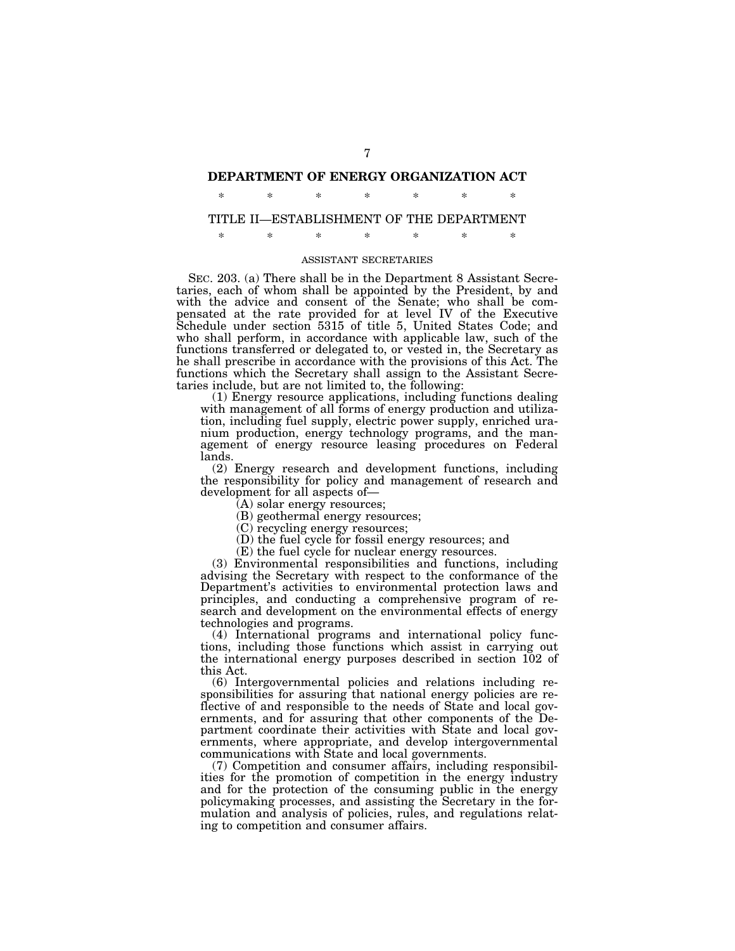# **DEPARTMENT OF ENERGY ORGANIZATION ACT**

\* \* \* \* \* \* \*

# TITLE II—ESTABLISHMENT OF THE DEPARTMENT

\* \* \* \* \* \* \*

### ASSISTANT SECRETARIES

SEC. 203. (a) There shall be in the Department 8 Assistant Secretaries, each of whom shall be appointed by the President, by and with the advice and consent of the Senate; who shall be compensated at the rate provided for at level IV of the Executive Schedule under section 5315 of title 5, United States Code; and who shall perform, in accordance with applicable law, such of the functions transferred or delegated to, or vested in, the Secretary as he shall prescribe in accordance with the provisions of this Act. The functions which the Secretary shall assign to the Assistant Secretaries include, but are not limited to, the following:

(1) Energy resource applications, including functions dealing with management of all forms of energy production and utilization, including fuel supply, electric power supply, enriched uranium production, energy technology programs, and the management of energy resource leasing procedures on Federal lands.

(2) Energy research and development functions, including the responsibility for policy and management of research and development for all aspects of—

(A) solar energy resources;

(B) geothermal energy resources;

(C) recycling energy resources;

(D) the fuel cycle for fossil energy resources; and

(E) the fuel cycle for nuclear energy resources.

(3) Environmental responsibilities and functions, including advising the Secretary with respect to the conformance of the Department's activities to environmental protection laws and principles, and conducting a comprehensive program of research and development on the environmental effects of energy technologies and programs.

(4) International programs and international policy functions, including those functions which assist in carrying out the international energy purposes described in section 102 of this Act.

(6) Intergovernmental policies and relations including responsibilities for assuring that national energy policies are reflective of and responsible to the needs of State and local governments, and for assuring that other components of the Department coordinate their activities with State and local governments, where appropriate, and develop intergovernmental communications with State and local governments.

(7) Competition and consumer affairs, including responsibilities for the promotion of competition in the energy industry and for the protection of the consuming public in the energy policymaking processes, and assisting the Secretary in the formulation and analysis of policies, rules, and regulations relating to competition and consumer affairs.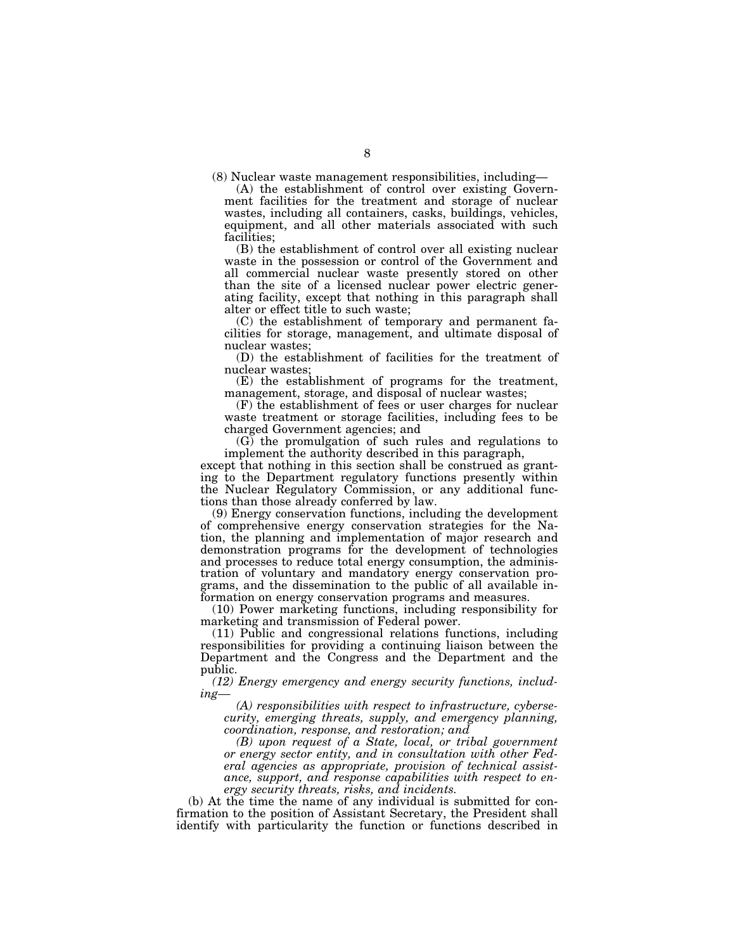(8) Nuclear waste management responsibilities, including—

(A) the establishment of control over existing Government facilities for the treatment and storage of nuclear wastes, including all containers, casks, buildings, vehicles, equipment, and all other materials associated with such facilities;

(B) the establishment of control over all existing nuclear waste in the possession or control of the Government and all commercial nuclear waste presently stored on other than the site of a licensed nuclear power electric generating facility, except that nothing in this paragraph shall alter or effect title to such waste;

(C) the establishment of temporary and permanent facilities for storage, management, and ultimate disposal of nuclear wastes;

(D) the establishment of facilities for the treatment of nuclear wastes;

(E) the establishment of programs for the treatment, management, storage, and disposal of nuclear wastes;

(F) the establishment of fees or user charges for nuclear waste treatment or storage facilities, including fees to be charged Government agencies; and

(G) the promulgation of such rules and regulations to implement the authority described in this paragraph,

except that nothing in this section shall be construed as granting to the Department regulatory functions presently within the Nuclear Regulatory Commission, or any additional functions than those already conferred by law.

(9) Energy conservation functions, including the development of comprehensive energy conservation strategies for the Nation, the planning and implementation of major research and demonstration programs for the development of technologies and processes to reduce total energy consumption, the administration of voluntary and mandatory energy conservation programs, and the dissemination to the public of all available information on energy conservation programs and measures.

(10) Power marketing functions, including responsibility for marketing and transmission of Federal power.

(11) Public and congressional relations functions, including responsibilities for providing a continuing liaison between the Department and the Congress and the Department and the public.

*(12) Energy emergency and energy security functions, including—* 

*(A) responsibilities with respect to infrastructure, cybersecurity, emerging threats, supply, and emergency planning, coordination, response, and restoration; and* 

*(B) upon request of a State, local, or tribal government or energy sector entity, and in consultation with other Federal agencies as appropriate, provision of technical assistance, support, and response capabilities with respect to energy security threats, risks, and incidents.* 

(b) At the time the name of any individual is submitted for confirmation to the position of Assistant Secretary, the President shall identify with particularity the function or functions described in